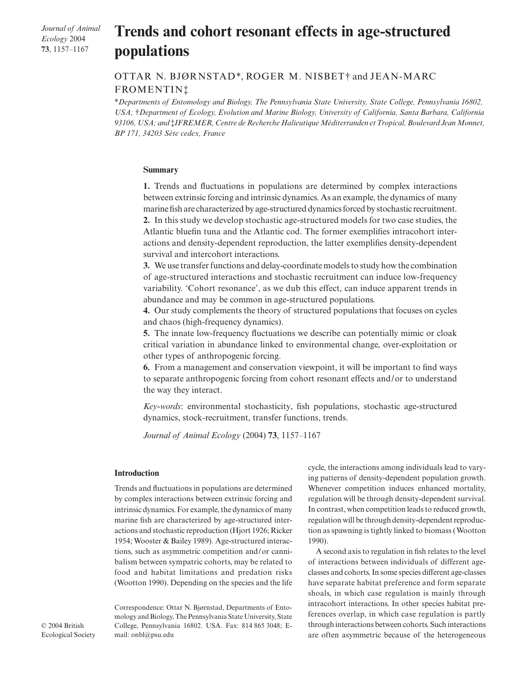*Journal of Animal Ecology* 2004 **73**, 1157–1167

# **Trends and cohort resonant effects in age-structured populations**

OTTAR N. BJØRNSTAD\*, ROGER M. NISBET† and JEAN-MARC FROMENTIN‡

\**Departments of Entomology and Biology, The Pennsylvania State University, State College, Pennsylvania 16802, USA;* †*Department of Ecology, Evolution and Marine Biology, University of California, Santa Barbara, California 93106, USA; and* ‡*IFREMER, Centre de Recherche Halieutique Méditerranden et Tropical, Boulevard Jean Monnet, BP 171, 34203 Sète cedex, France* 

#### **Summary**

**1.** Trends and fluctuations in populations are determined by complex interactions between extrinsic forcing and intrinsic dynamics. As an example, the dynamics of many marine fish are characterized by age-structured dynamics forced by stochastic recruitment.

**2.** In this study we develop stochastic age-structured models for two case studies, the Atlantic bluefin tuna and the Atlantic cod. The former exemplifies intracohort interactions and density-dependent reproduction, the latter exemplifies density-dependent survival and intercohort interactions.

**3.** We use transfer functions and delay-coordinate models to study how the combination of age-structured interactions and stochastic recruitment can induce low-frequency variability. 'Cohort resonance', as we dub this effect, can induce apparent trends in abundance and may be common in age-structured populations.

**4.** Our study complements the theory of structured populations that focuses on cycles and chaos (high-frequency dynamics).

**5.** The innate low-frequency fluctuations we describe can potentially mimic or cloak critical variation in abundance linked to environmental change, over-exploitation or other types of anthropogenic forcing.

**6.** From a management and conservation viewpoint, it will be important to find ways to separate anthropogenic forcing from cohort resonant effects and/or to understand the way they interact.

*Key-words*: environmental stochasticity, fish populations, stochastic age-structured dynamics, stock-recruitment, transfer functions, trends.

*Journal of Animal Ecology* (2004) **73**, 1157–1167

## **Introduction**

Trends and fluctuations in populations are determined by complex interactions between extrinsic forcing and intrinsic dynamics. For example, the dynamics of many marine fish are characterized by age-structured interactions and stochastic reproduction (Hjort 1926; Ricker 1954; Wooster & Bailey 1989). Age-structured interactions, such as asymmetric competition and/or cannibalism between sympatric cohorts, may be related to food and habitat limitations and predation risks (Wootton 1990). Depending on the species and the life

Correspondence: Ottar N. Bjørnstad, Departments of Entomology and Biology, The Pennsylvania State University, State College, Pennsylvania 16802. USA. Fax: 814 865 3048; Email: onbl@psu.edu

cycle, the interactions among individuals lead to varying patterns of density-dependent population growth. Whenever competition induces enhanced mortality, regulation will be through density-dependent survival. In contrast, when competition leads to reduced growth, regulation will be through density-dependent reproduction as spawning is tightly linked to biomass (Wootton 1990).

A second axis to regulation in fish relates to the level of interactions between individuals of different ageclasses and cohorts. In some species different age-classes have separate habitat preference and form separate shoals, in which case regulation is mainly through intracohort interactions. In other species habitat preferences overlap, in which case regulation is partly through interactions between cohorts. Such interactions are often asymmetric because of the heterogeneous

© 2004 British Ecological Society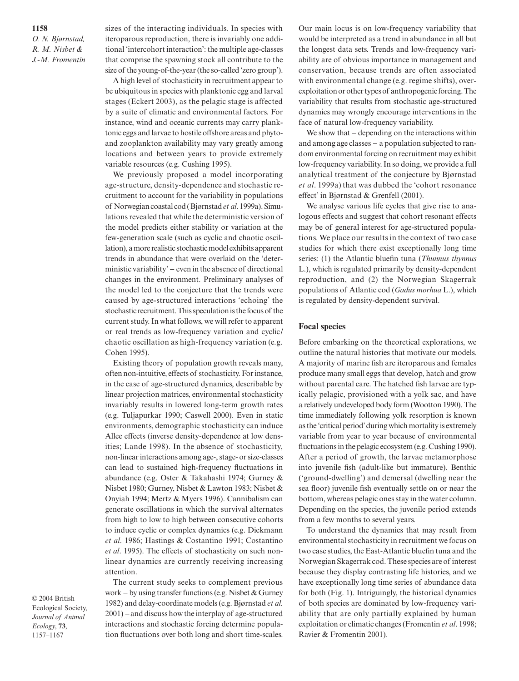**1158** *O. N. Bjørnstad, R. M. Nisbet & J.-M. Fromentin*

sizes of the interacting individuals. In species with iteroparous reproduction, there is invariably one additional 'intercohort interaction': the multiple age-classes that comprise the spawning stock all contribute to the size of the young-of-the-year (the so-called 'zero group').

A high level of stochasticity in recruitment appear to be ubiquitous in species with planktonic egg and larval stages (Eckert 2003), as the pelagic stage is affected by a suite of climatic and environmental factors. For instance, wind and oceanic currents may carry planktonic eggs and larvae to hostile offshore areas and phytoand zooplankton availability may vary greatly among locations and between years to provide extremely variable resources (e.g. Cushing 1995).

We previously proposed a model incorporating age-structure, density-dependence and stochastic recruitment to account for the variability in populations of Norwegian coastal cod (Bjørnstad *et al*. 1999a). Simulations revealed that while the deterministic version of the model predicts either stability or variation at the few-generation scale (such as cyclic and chaotic oscillation), a more realistic stochastic model exhibits apparent trends in abundance that were overlaid on the 'deterministic variability' − even in the absence of directional changes in the environment. Preliminary analyses of the model led to the conjecture that the trends were caused by age-structured interactions 'echoing' the stochastic recruitment. This speculation is the focus of the current study. In what follows, we will refer to apparent or real trends as low-frequency variation and cyclic/ chaotic oscillation as high-frequency variation (e.g. Cohen 1995).

Existing theory of population growth reveals many, often non-intuitive, effects of stochasticity. For instance, in the case of age-structured dynamics, describable by linear projection matrices, environmental stochasticity invariably results in lowered long-term growth rates (e.g. Tuljapurkar 1990; Caswell 2000). Even in static environments, demographic stochasticity can induce Allee effects (inverse density-dependence at low densities; Lande 1998). In the absence of stochasticity, non-linear interactions among age-, stage- or size-classes can lead to sustained high-frequency fluctuations in abundance (e.g. Oster & Takahashi 1974; Gurney & Nisbet 1980; Gurney, Nisbet & Lawton 1983; Nisbet & Onyiah 1994; Mertz & Myers 1996). Cannibalism can generate oscillations in which the survival alternates from high to low to high between consecutive cohorts to induce cyclic or complex dynamics (e.g. Diekmann *et al*. 1986; Hastings & Costantino 1991; Costantino *et al*. 1995). The effects of stochasticity on such nonlinear dynamics are currently receiving increasing attention.

© 2004 British Ecological Society, *Journal of Animal Ecology*, **73**, 1157–1167

The current study seeks to complement previous work − by using transfer functions (e.g. Nisbet & Gurney 1982) and delay-coordinate models (e.g. Bjørnstad *et al.* 2001) – and discuss how the interplay of age-structured interactions and stochastic forcing determine population fluctuations over both long and short time-scales. Our main locus is on low-frequency variability that would be interpreted as a trend in abundance in all but the longest data sets. Trends and low-frequency variability are of obvious importance in management and conservation, because trends are often associated with environmental change (e.g. regime shifts), overexploitation or other types of anthropogenic forcing. The variability that results from stochastic age-structured dynamics may wrongly encourage interventions in the face of natural low-frequency variability.

We show that − depending on the interactions within and among age classes − a population subjected to random environmental forcing on recruitment may exhibit low-frequency variability. In so doing, we provide a full analytical treatment of the conjecture by Bjørnstad *et al*. 1999a) that was dubbed the 'cohort resonance effect' in Bjørnstad & Grenfell (2001).

We analyse various life cycles that give rise to analogous effects and suggest that cohort resonant effects may be of general interest for age-structured populations. We place our results in the context of two case studies for which there exist exceptionally long time series: (1) the Atlantic bluefin tuna (*Thunnus thynnus* L.), which is regulated primarily by density-dependent reproduction, and (2) the Norwegian Skagerrak populations of Atlantic cod (*Gadus morhua* L.), which is regulated by density-dependent survival.

## **Focal species**

Before embarking on the theoretical explorations, we outline the natural histories that motivate our models. A majority of marine fish are iteroparous and females produce many small eggs that develop, hatch and grow without parental care. The hatched fish larvae are typically pelagic, provisioned with a yolk sac, and have a relatively undeveloped body form (Wootton 1990). The time immediately following yolk resorption is known as the 'critical period' during which mortality is extremely variable from year to year because of environmental fluctuations in the pelagic ecosystem (e.g. Cushing 1990). After a period of growth, the larvae metamorphose into juvenile fish (adult-like but immature). Benthic ('ground-dwelling') and demersal (dwelling near the sea floor) juvenile fish eventually settle on or near the bottom, whereas pelagic ones stay in the water column. Depending on the species, the juvenile period extends from a few months to several years.

To understand the dynamics that may result from environmental stochasticity in recruitment we focus on two case studies, the East-Atlantic bluefin tuna and the Norwegian Skagerrak cod. These species are of interest because they display contrasting life histories, and we have exceptionally long time series of abundance data for both (Fig. 1). Intriguingly, the historical dynamics of both species are dominated by low-frequency variability that are only partially explained by human exploitation or climatic changes (Fromentin *et al*. 1998; Ravier & Fromentin 2001).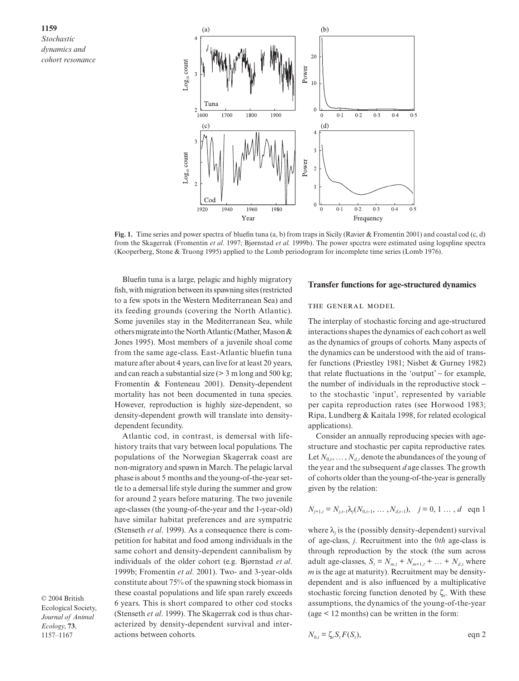

**Fig. 1.** Time series and power spectra of bluefin tuna (a, b) from traps in Sicily (Ravier & Fromentin 2001) and coastal cod (c, d) from the Skagerrak (Fromentin *et al*. 1997; Bjørnstad *et al.* 1999b). The power spcctra were estimated using logspline spectra (Kooperberg, Stone & Truong 1995) applied to the Lomb periodogram for incomplete time series (Lomb 1976).

Bluefin tuna is a large, pelagic and highly migratory fish, with migration between its spawning sites (restricted to a few spots in the Western Mediterranean Sea) and its feeding grounds (covering the North Atlantic). Some juveniles stay in the Mediterranean Sea, while others migrate into the North Atlantic (Mather, Mason & Jones 1995). Most members of a juvenile shoal come from the same age-class. East-Atlantic bluefin tuna mature after about 4 years, can live for at least 20 years, and can reach a substantial size  $(> 3 \text{ m long and } 500 \text{ kg})$ ; Fromentin & Fonteneau 2001). Density-dependent mortality has not been documented in tuna species. However, reproduction is highly size-dependent, so density-dependent growth will translate into densitydependent fecundity.

Atlantic cod, in contrast, is demersal with lifehistory traits that vary between local populations. The populations of the Norwegian Skagerrak coast are non-migratory and spawn in March. The pelagic larval phase is about 5 months and the young-of-the-year settle to a demersal life style during the summer and grow for around 2 years before maturing. The two juvenile age-classes (the young-of-the-year and the 1-year-old) have similar habitat preferences and are sympatric (Stenseth *et al*. 1999). As a consequence there is competition for habitat and food among individuals in the same cohort and density-dependent cannibalism by individuals of the older cohort (e.g. Bjørnstad *et al*. 1999b; Fromentin *et al*. 2001). Two- and 3-year-olds constitute about 75% of the spawning stock biomass in these coastal populations and life span rarely exceeds 6 years. This is short compared to other cod stocks (Stenseth *et al*. 1999). The Skagerrak cod is thus characterized by density-dependent survival and interactions between cohorts.

© 2004 British Ecological Society, *Journal of Animal Ecology*, **73**, 1157–1167

## **Transfer functions for age-structured dynamics**

#### THE GENERAL MODEL

The interplay of stochastic forcing and age-structured interactions shapes the dynamics of each cohort as well as the dynamics of groups of cohorts. Many aspects of the dynamics can be understood with the aid of transfer functions (Priestley 1981; Nisbet & Gurney 1982) that relate fluctuations in the 'output' − for example, the number of individuals in the reproductive stock − to the stochastic 'input', represented by variable per capita reproduction rates (see Horwood 1983; Ripa, Lundberg & Kaitala 1998, for related ecological applications).

Consider an annually reproducing species with agestructure and stochastic per capita reproductive rates. Let  $N_0$ ,  $\ldots$ ,  $N_d$ , denote the abundances of the young of the year and the subsequent *d* age classes. The growth of cohorts older than the young-of-the-year is generally given by the relation:

$$
N_{j+1,t} = N_{j,t-1} \lambda_j (N_{0,t-1}, \dots, N_{d,t-1}), \quad j = 0, 1 \dots, d \text{ eqn 1}
$$

where  $\lambda_i$  is the (possibly density-dependent) survival of age-class, *j*. Recruitment into the 0*th* age-class is through reproduction by the stock (the sum across adult age-classes,  $S_t = N_{m,t} + N_{m+1,t} + ... + N_{d,t}$  where *m* is the age at maturity). Recruitment may be densitydependent and is also influenced by a multiplicative stochastic forcing function denoted by  $\zeta$ . With these assumptions, the dynamics of the young-of-the-year (age < 12 months) can be written in the form:

$$
N_{0,t} = \zeta_t S_t F(S_t), \qquad \text{eqn 2}
$$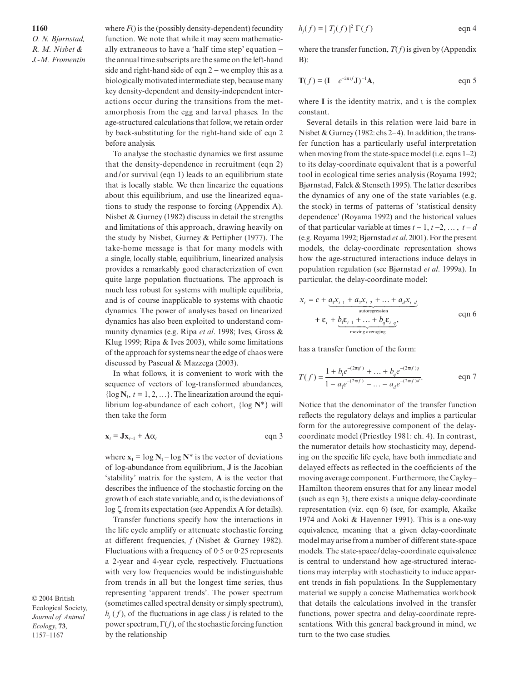**1160** *O. N. Bjørnstad, R. M. Nisbet & J.-M. Fromentin* where  $F()$  is the (possibly density-dependent) fecundity function. We note that while it may seem mathematically extraneous to have a 'half time step' equation − the annual time subscripts are the same on the left-hand side and right-hand side of eqn 2 − we employ this as a biologically motivated intermediate step, because many key density-dependent and density-independent interactions occur during the transitions from the metamorphosis from the egg and larval phases. In the age-structured calculations that follow, we retain order by back-substituting for the right-hand side of eqn 2 before analysis.

To analyse the stochastic dynamics we first assume that the density-dependence in recruitment (eqn 2) and/or survival (eqn 1) leads to an equilibrium state that is locally stable. We then linearize the equations about this equilibrium, and use the linearized equations to study the response to forcing (Appendix A). Nisbet & Gurney (1982) discuss in detail the strengths and limitations of this approach, drawing heavily on the study by Nisbet, Gurney & Pettipher (1977). The take-home message is that for many models with a single, locally stable, equilibrium, linearized analysis provides a remarkably good characterization of even quite large population fluctuations. The approach is much less robust for systems with multiple equilibria, and is of course inapplicable to systems with chaotic dynamics. The power of analyses based on linearized dynamics has also been exploited to understand community dynamics (e.g. Ripa *et al*. 1998; Ives, Gross & Klug 1999; Ripa & Ives 2003), while some limitations of the approach for systems near the edge of chaos were discussed by Pascual & Mazzega (2003).

In what follows, it is convenient to work with the sequence of vectors of log-transformed abundances,  $\{ \log N_t, t = 1, 2, ...\}$ . The linearization around the equilibrium log-abundance of each cohort, {log **N**\*} will then take the form

$$
\mathbf{x}_{t} = \mathbf{J}\mathbf{x}_{t-1} + \mathbf{A}\alpha_{t} \qquad \text{eqn 3}
$$

where  $\mathbf{x}_t = \log \mathbf{N}_t - \log \mathbf{N}^*$  is the vector of deviations of log-abundance from equilibrium, **J** is the Jacobian 'stability' matrix for the system, **A** is the vector that describes the influence of the stochastic forcing on the growth of each state variable, and  $\alpha$  is the deviations of log ζ*<sup>t</sup>* from its expectation (see Appendix A for details).

Transfer functions specify how the interactions in the life cycle amplify or attenuate stochastic forcing at different frequencies, *f* (Nisbet & Gurney 1982). Fluctuations with a frequency of 0·5 or 0·25 represents a 2-year and 4-year cycle, respectively. Fluctuations with very low frequencies would be indistinguishable from trends in all but the longest time series, thus representing 'apparent trends'. The power spectrum (sometimes called spectral density or simply spectrum),  $h_j(f)$ , of the fluctuations in age class *j* is related to the power spectrum, Γ(*f*), of the stochastic forcing function by the relationship

$$
h_j(f) = |T_j(f)|^2 \Gamma(f)
$$
eqn 4

where the transfer function,  $T(f)$  is given by (Appendix B):

$$
\mathbf{T}(f) = (\mathbf{I} - e^{-2\pi \mathbf{I}} \mathbf{J})^{-1} \mathbf{A}, \quad \text{eqn 5}
$$

where **I** is the identity matrix, and ι is the complex constant.

Several details in this relation were laid bare in Nisbet & Gurney (1982: chs 2–4). In addition, the transfer function has a particularly useful interpretation when moving from the state-space model (i.e. eqns 1–2) to its delay-coordinate equivalent that is a powerful tool in ecological time series analysis (Royama 1992; Bjørnstad, Falck & Stenseth 1995). The latter describes the dynamics of any one of the state variables (e.g. the stock) in terms of patterns of 'statistical density dependence' (Royama 1992) and the historical values of that particular variable at times  $t - 1$ ,  $t - 2$ , …,  $t - d$ (e.g. Royama 1992; Bjørnstad *et al*. 2001). For the present models, the delay-coordinate representation shows how the age-structured interactions induce delays in population regulation (see Bjørnstad *et al*. 1999a). In particular, the delay-coordinate model:

$$
x_{t} = c + \underbrace{a_{1}x_{t-1} + a_{2}x_{t-2} + \dots + a_{d}x_{t-d}}_{\text{autoregression}}
$$
  
+  $\varepsilon_{t} + \underbrace{b_{1}\varepsilon_{t-1} + \dots + b_{q}\varepsilon_{t-q}}_{\text{moving averaging}},$  eqn 6

has a transfer function of the form:

$$
T(f) = \frac{1 + b_1 e^{-(2\pi f)} + \dots + b_q e^{-(2\pi f)q}}{1 - a_1 e^{-(2\pi f)} - \dots - a_d e^{-(2\pi f)d}}.
$$
 eqn 7

Notice that the denominator of the transfer function reflects the regulatory delays and implies a particular form for the autoregressive component of the delaycoordinate model (Priestley 1981: ch. 4). In contrast, the numerator details how stochasticity may, depending on the specific life cycle, have both immediate and delayed effects as reflected in the coefficients of the moving average component. Furthermore, the Cayley– Hamilton theorem ensures that for any linear model (such as eqn 3), there exists a unique delay-coordinate representation (viz. eqn 6) (see, for example, Akaike 1974 and Aoki & Havenner 1991). This is a one-way equivalence, meaning that a given delay-coordinate model may arise from a number of different state-space models. The state-space/delay-coordinate equivalence is central to understand how age-structured interactions may interplay with stochasticity to induce apparent trends in fish populations. In the Supplementary material we supply a concise Mathematica workbook that details the calculations involved in the transfer functions, power spectra and delay-coordinate representations. With this general background in mind, we turn to the two case studies.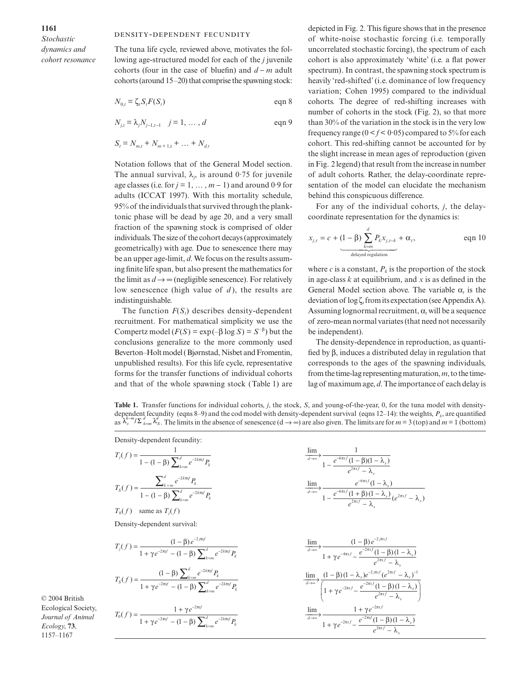*Stochastic dynamics and cohort resonance*

#### DENSITY-DEPENDENT FECUNDITY

The tuna life cycle, reviewed above, motivates the following age-structured model for each of the *j* juvenile cohorts (four in the case of bluefin) and *d* − *m* adult cohorts (around 15–20) that comprise the spawning stock:

$$
N_{0,t} = \zeta_t S_t F(S_t) \qquad \qquad \text{eqn 8}
$$

$$
N_{j,t} = \lambda_j N_{j-1,t-1} \quad j = 1, \dots, d \quad \text{eqn 9}
$$

$$
S_t = N_{m,t} + N_{m+1,t} + \dots + N_{d,t}
$$

Notation follows that of the General Model section. The annual survival,  $\lambda_j$ , is around 0.75 for juvenile age classes (i.e. for  $j = 1, ..., m - 1$ ) and around 0.9 for adults (ICCAT 1997). With this mortality schedule, 95% of the individuals that survived through the planktonic phase will be dead by age 20, and a very small fraction of the spawning stock is comprised of older individuals. The size of the cohort decays (approximately geometrically) with age. Due to senescence there may be an upper age-limit, *d*. We focus on the results assuming finite life span, but also present the mathematics for the limit as  $d \rightarrow \infty$  (negligible senescence). For relatively low senescence (high value of *d* ), the results are indistinguishable.

The function  $F(S<sub>i</sub>)$  describes density-dependent recruitment. For mathematical simplicity we use the Compertz model  $(F(S) = \exp(-\beta \log S) = S^{-\beta})$  but the conclusions generalize to the more commonly used Beverton–Holt model (Bjørnstad, Nisbet and Fromentin, unpublished results). For this life cycle, representative forms for the transfer functions of individual cohorts and that of the whole spawning stock (Table 1) are

depicted in Fig. 2. This figure shows that in the presence of white-noise stochastic forcing (i.e. temporally uncorrelated stochastic forcing), the spectrum of each cohort is also approximately 'white' (i.e. a flat power spectrum). In contrast, the spawning stock spectrum is heavily 'red-shifted' (i.e. dominance of low frequency variation; Cohen 1995) compared to the individual cohorts. The degree of red-shifting increases with number of cohorts in the stock (Fig. 2), so that more than 30% of the variation in the stock is in the very low frequency range  $(0 < f < 0.05)$  compared to 5% for each cohort. This red-shifting cannot be accounted for by the slight increase in mean ages of reproduction (given in Fig. 2 legend) that result from the increase in number of adult cohorts. Rather, the delay-coordinate representation of the model can elucidate the mechanism behind this conspicuous difference.

For any of the individual cohorts, *j*, the delaycoordinate representation for the dynamics is:

$$
x_{j,t} = c + (1 - \beta) \sum_{k=m}^{d} P_k x_{j,t-k} + \alpha_t, \qquad \text{eqn 10}
$$

where *c* is a constant,  $P_k$  is the proportion of the stock in age-class *k* at equilibrium, and *x* is as defined in the General Model section above. The variable  $\alpha$ , is the deviation of log ζ*<sup>t</sup>* from its expectation (see Appendix A). Assuming lognormal recruitment, α*<sup>t</sup>* will be a sequence of zero-mean normal variates (that need not necessarily be independent).

The density-dependence in reproduction, as quantified by β, induces a distributed delay in regulation that corresponds to the ages of the spawning individuals, from the time-lag representing maturation, *m*, to the timelag of maximum age, *d*. The importance of each delay is

**Table 1.** Transfer functions for individual cohorts, *j*, the stock, *S*, and young-of-the-year, 0, for the tuna model with densitydependent fecundity (eqns 8–9) and the cod model with density-dependent survival (eqns  $12-14$ ): the weights,  $P_k$ , are quantified  $\int_{0}^{\infty} \int_{0}^{\infty} \frac{\lambda_{s}^{d}}{\lambda_{s}^{d}}$ . The limits in the absence of senescence (d  $\rightarrow \infty$ ) are also given. The limits are for  $m = 3$  (top) and  $m = 1$  (bottom)

| Density-dependent fecundity:                                                                                                       |                                                                                                                                                                                                                              |
|------------------------------------------------------------------------------------------------------------------------------------|------------------------------------------------------------------------------------------------------------------------------------------------------------------------------------------------------------------------------|
| $T_j(f) = \frac{1}{1 - (1 - \beta) \sum_{n=0}^{d} e^{-2k\pi i f} P_k}$                                                             | $\frac{\lim}{1}{\xrightarrow{d\to\infty}} \frac{e^{-6\pi i f} (1-\beta)(1-\lambda_s)}{e^{2\pi i f} - \lambda_s}$                                                                                                             |
| $T_S(f) = \frac{\sum_{k=m} e^{-2k\pi i f} P_k}{1 - (1 - \beta) \sum_{k=m}^d e^{-2k\pi i f} P_k}$                                   | $\frac{\lim}{d\rightarrow\infty}$ $\frac{e^{-6\pi t/((1-\lambda_s))}}{1-\frac{e^{-6\pi t/((1+\beta)(1-\lambda_s))}}{e^{2\pi t/(\lambda_s)}}(e^{2\pi t/(\lambda_s))}}$                                                        |
| $T_0(f)$ same as $T_i(f)$                                                                                                          |                                                                                                                                                                                                                              |
| Density-dependent survival:                                                                                                        |                                                                                                                                                                                                                              |
| $T_j(f) = \frac{(1 - \beta)e^{-j\pi s}}{1 + \gamma e^{-2\pi sf} - (1 - \beta)\sum_{n=0}^d e^{-2k\pi sf} P_k}$                      | $\frac{\lim}{1\rightarrow\infty}\frac{(1-\beta)e^{-2\beta x(t)}}{1+\gamma e^{-4\pi t f}-\frac{e^{-2\pi t f}(1-\beta)(1-\lambda_s)}{e^{2\pi t f}-\lambda}}$                                                                   |
| $T_S(f) = \frac{(1 - \beta) \sum_{k=m} e^{-2\pi k t} P_k}{1 + \gamma e^{-2\pi t f} - (1 - \beta) \sum_{k=m}^d e^{-2k\pi t f} P_k}$ | $\frac{\lim}{d \to \infty} \frac{(1 - \beta)(1 - \lambda_s)e^{-2\pi t f} (e^{2\pi t f} - \lambda_s)^{-1}}{\left(1 + \gamma e^{-2\pi t f} - \frac{e^{-2\pi t f}(1 - \beta)(1 - \lambda_s)}{e^{2\pi t f} - \lambda_s}\right)}$ |
| $T_0(f) = \frac{1 + \gamma e^{-2\pi t}}{1 + \gamma e^{-2\pi t f} - (1 - \beta) \sum_{n=0}^{d} e^{-2k\pi t f} P_n}$                 | $\frac{\lim\limits_{d\rightarrow\infty}}{1+\gamma e^{-2\pi\imath f}-\frac{e^{-2\pi\imath f}}{e^{2\pi\imath f}-\lambda_s}}$                                                                                                   |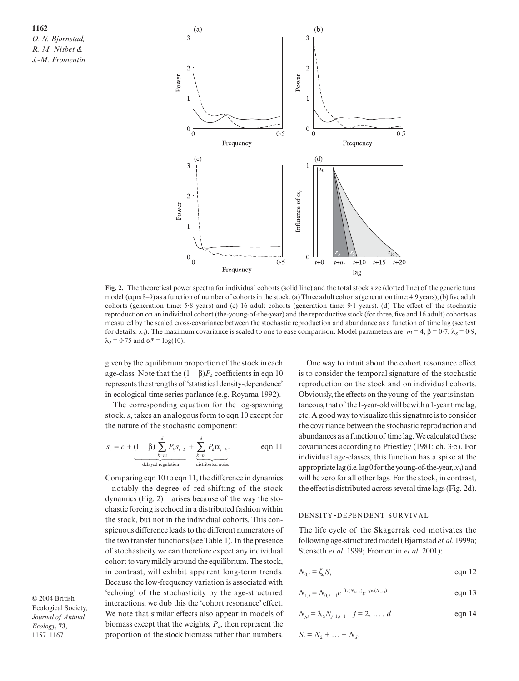

**Fig. 2.** The theoretical power spectra for individual cohorts (solid line) and the total stock size (dotted line) of the generic tuna model (eqns 8–9) as a function of number of cohorts in the stock. (a) Three adult cohorts (generation time: 4·9 years), (b) five adult cohorts (generation time: 5·8 years) and (c) 16 adult cohorts (generation time: 9·1 years). (d) The effect of the stochastic reproduction on an individual cohort (the-young-of-the-year) and the reproductive stock (for three, five and 16 adult) cohorts as measured by the scaled cross-covariance between the stochastic reproduction and abundance as a function of time lag (see text for details: *x*<sub>0</sub>). The maximum covariance is scaled to one to ease comparison. Model parameters are: *m* = 4, β = 0·7,  $λ_s$  = 0·9,  $\lambda_J = 0.75$  and  $\alpha^* = \log(10)$ .

given by the equilibrium proportion of the stock in each age-class. Note that the  $(1 – \beta)P_k$  coefficients in eqn 10 represents the strengths of 'statistical density-dependence' in ecological time series parlance (e.g. Royama 1992).

The corresponding equation for the log-spawning stock, *s*, takes an analogous form to eqn 10 except for the nature of the stochastic component:

$$
s_{t} = c + (1 - \beta) \sum_{k=m}^{d} P_{k} s_{t-k} + \sum_{\substack{k=m \ \text{defined} \ \text{standard} \ \text{of } k}}^{d} P_{k} \alpha_{t-k}.
$$
eqn 11

Comparing eqn 10 to eqn 11, the difference in dynamics − notably the degree of red-shifting of the stock dynamics (Fig.  $2$ ) – arises because of the way the stochastic forcing is echoed in a distributed fashion within the stock, but not in the individual cohorts. This conspicuous difference leads to the different numerators of the two transfer functions (see Table 1). In the presence of stochasticity we can therefore expect any individual cohort to vary mildly around the equilibrium. The stock, in contrast, will exhibit apparent long-term trends. Because the low-frequency variation is associated with 'echoing' of the stochasticity by the age-structured interactions, we dub this the 'cohort resonance' effect. We note that similar effects also appear in models of biomass except that the weights,  $P_k$ , then represent the proportion of the stock biomass rather than numbers.

© 2004 British Ecological Society, *Journal of Animal Ecology*, **73**, 1157–1167

One way to intuit about the cohort resonance effect is to consider the temporal signature of the stochastic reproduction on the stock and on individual cohorts. Obviously, the effects on the young-of-the-year is instantaneous, that of the 1-year-old will be with a 1-year time lag, etc. A good way to visualize this signature is to consider the covariance between the stochastic reproduction and abundances as a function of time lag. We calculated these covariances according to Priestley (1981: ch. 3·5). For individual age-classes, this function has a spike at the appropriate lag (i.e. lag 0 for the young-of-the-year,  $x_0$ ) and will be zero for all other lags. For the stock, in contrast, the effect is distributed across several time lags (Fig. 2d).

## DENSITY-DEPENDENT SURVIVAL

The life cycle of the Skagerrak cod motivates the following age-structured model (Bjørnstad *et al*. 1999a; Stenseth *et al*. 1999; Fromentin *et al*. 2001):

$$
N_{0,t} = \zeta_t S_t \qquad \qquad \text{eqn 12}
$$

$$
N_{1,t} = N_{0,t-1} e^{-\beta v (N_{0,t-1})} e^{-\gamma w (N_{1,t-1})}
$$
eqn 13

$$
N_{j,t} = \lambda_s N_{j-1,t-1} \quad j = 2, \dots, d \qquad \text{eqn 14}
$$

$$
S_t = N_2 + \dots + N_d.
$$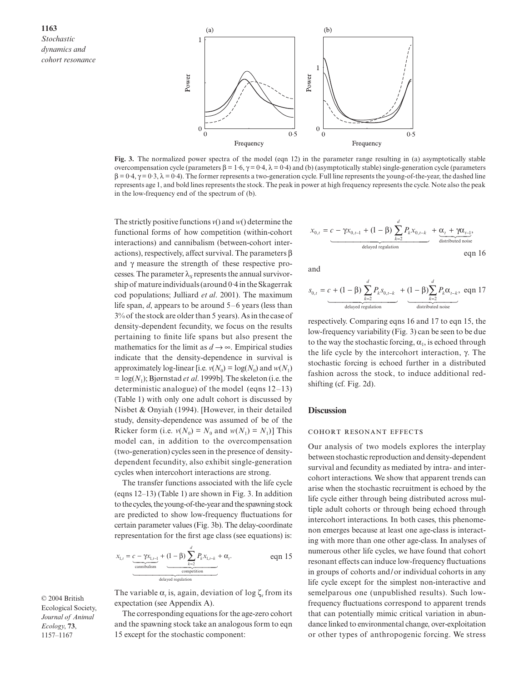

**Fig. 3.** The normalized power spectra of the model (eqn 12) in the parameter range resulting in (a) asymptotically stable overcompensation cycle (parameters β = 1·6, γ = 0·4, λ = 0·4) and (b) (asymptotically stable) single-generation cycle (parameters  $\beta = 0.4$ ,  $\gamma = 0.3$ ,  $\lambda = 0.4$ ). The former represents a two-generation cycle. Full line represents the young-of-the-year, the dashed line represents age 1, and bold lines represents the stock. The peak in power at high frequency represents the cycle. Note also the peak in the low-frequency end of the spectrum of (b).

The strictly positive functions *v*() and *w*() determine the functional forms of how competition (within-cohort interactions) and cannibalism (between-cohort interactions), respectively, affect survival. The parameters β and  $\gamma$  measure the strength of these respective processes. The parameter  $\lambda_s$  represents the annual survivorship of mature individuals (around 0·4 in the Skagerrak cod populations; Julliard *et al*. 2001). The maximum life span, *d*, appears to be around 5–6 years (less than 3% of the stock are older than 5 years). As in the case of density-dependent fecundity, we focus on the results pertaining to finite life spans but also present the mathematics for the limit as  $d \rightarrow \infty$ . Empirical studies indicate that the density-dependence in survival is approximately log-linear [i.e.  $v(N_0) = \log(N_0)$  and  $w(N_1)$  $=$  log( $N_1$ ); Bjørnstad *et al.* 1999b]. The skeleton (i.e. the deterministic analogue) of the model (eqns 12–13) (Table 1) with only one adult cohort is discussed by Nisbet & Onyiah (1994). [However, in their detailed study, density-dependence was assumed of be of the Ricker form (i.e.  $v(N_0) = N_0$  and  $w(N_1) = N_1$ )] This model can, in addition to the overcompensation (two-generation) cycles seen in the presence of densitydependent fecundity, also exhibit single-generation cycles when intercohort interactions are strong.

The transfer functions associated with the life cycle (eqns 12–13) (Table 1) are shown in Fig. 3. In addition to the cycles, the young-of-the-year and the spawning stock are predicted to show low-frequency fluctuations for certain parameter values (Fig. 3b). The delay-coordinate representation for the first age class (see equations) is:

$$
x_{1,t} = \underbrace{c - \gamma x_{1,t-1}}_{\text{cannibalism}} + \underbrace{(1 - \beta) \sum_{k=2}^{d} P_k x_{1,t-k}}_{\text{comribalism}} + \alpha_t. \qquad \text{eqn 15}
$$

The variable  $\alpha$ , is, again, deviation of log  $\zeta$  from its expectation (see Appendix A).

The corresponding equations for the age-zero cohort and the spawning stock take an analogous form to eqn 15 except for the stochastic component:

$$
x_{0,t} = \underbrace{c - \gamma x_{0,t-1} + (1 - \beta) \sum_{k=2}^{d} P_k x_{0,t-k}}_{\text{delayed regulation}} + \underbrace{\alpha_t + \gamma \alpha_{t-1}}_{\text{distributed noise}},
$$

and

$$
s_{0,t} = \underbrace{c + (1 - \beta) \sum_{k=2}^{d} P_k s_{0,t-k}}_{\text{delayed regulation}} + \underbrace{(1 - \beta) \sum_{k=2}^{d} P_k \alpha_{t-k}}_{\text{distributed noise}}, \text{ eqn 17}
$$

respectively. Comparing eqns 16 and 17 to eqn 15, the low-frequency variability (Fig. 3) can be seen to be due to the way the stochastic forcing,  $\alpha_1$ , is echoed through the life cycle by the intercohort interaction, γ. The stochastic forcing is echoed further in a distributed fashion across the stock, to induce additional redshifting (cf. Fig. 2d).

#### **Discussion**

#### **COHORT RESONANT EFFECTS**

Our analysis of two models explores the interplay between stochastic reproduction and density-dependent survival and fecundity as mediated by intra- and intercohort interactions. We show that apparent trends can arise when the stochastic recruitment is echoed by the life cycle either through being distributed across multiple adult cohorts or through being echoed through intercohort interactions. In both cases, this phenomenon emerges because at least one age-class is interacting with more than one other age-class. In analyses of numerous other life cycles, we have found that cohort resonant effects can induce low-frequency fluctuations in groups of cohorts and/or individual cohorts in any life cycle except for the simplest non-interactive and semelparous one (unpublished results). Such lowfrequency fluctuations correspond to apparent trends that can potentially mimic critical variation in abundance linked to environmental change, over-exploitation or other types of anthropogenic forcing. We stress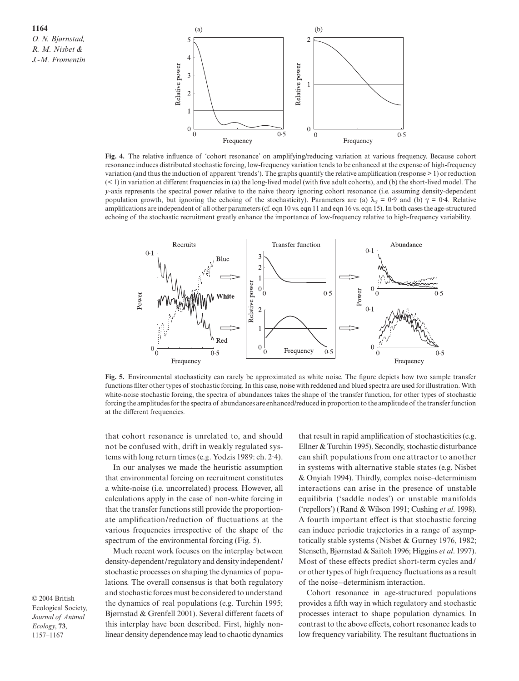

**Fig. 4.** The relative influence of 'cohort resonance' on amplifying/reducing variation at various frequency. Because cohort resonance induces distributed stochastic forcing, low-frequency variation tends to be enhanced at the expense of high-frequency variation (and thus the induction of apparent 'trends'). The graphs quantify the relative amplification (response > 1) or reduction (< 1) in variation at different frequencies in (a) the long-lived model (with five adult cohorts), and (b) the short-lived model. The *y*-axis represents the spectral power relative to the naive theory ignoring cohort resonance (i.e. assuming density-dependent population growth, but ignoring the echoing of the stochasticity). Parameters are (a)  $\lambda_s = 0.9$  and (b)  $\gamma = 0.4$ . Relative amplifications are independent of all other parameters (cf. eqn 10 vs. eqn 11 and eqn 16 vs. eqn 15). In both cases the age-structured echoing of the stochastic recruitment greatly enhance the importance of low-frequency relative to high-frequency variability.



**Fig. 5.** Environmental stochasticity can rarely be approximated as white noise. The figure depicts how two sample transfer functions filter other types of stochastic forcing. In this case, noise with reddened and blued spectra are used for illustration. With white-noise stochastic forcing, the spectra of abundances takes the shape of the transfer function, for other types of stochastic forcing the amplitudes for the spectra of abundances are enhanced/reduced in proportion to the amplitude of the transfer function at the different frequencies.

that cohort resonance is unrelated to, and should not be confused with, drift in weakly regulated systems with long return times (e.g. Yodzis 1989: ch. 2·4).

In our analyses we made the heuristic assumption that environmental forcing on recruitment constitutes a white-noise (i.e. uncorrelated) process. However, all calculations apply in the case of non-white forcing in that the transfer functions still provide the proportionate amplification/reduction of fluctuations at the various frequencies irrespective of the shape of the spectrum of the environmental forcing (Fig. 5).

Much recent work focuses on the interplay between density-dependent/regulatory and density independent/ stochastic processes on shaping the dynamics of populations. The overall consensus is that both regulatory and stochastic forces must be considered to understand the dynamics of real populations (e.g. Turchin 1995; Bjørnstad & Grenfell 2001). Several different facets of this interplay have been described. First, highly nonlinear density dependence may lead to chaotic dynamics

that result in rapid amplification of stochasticities (e.g. Ellner & Turchin 1995). Secondly, stochastic disturbance can shift populations from one attractor to another in systems with alternative stable states (e.g. Nisbet & Onyiah 1994). Thirdly, complex noise–determinism interactions can arise in the presence of unstable equilibria ('saddle nodes') or unstable manifolds ('repellors') (Rand & Wilson 1991; Cushing *et al*. 1998). A fourth important effect is that stochastic forcing can induce periodic trajectories in a range of asymptotically stable systems (Nisbet & Gurney 1976, 1982; Stenseth, Bjørnstad & Saitoh 1996; Higgins *et al*. 1997). Most of these effects predict short-term cycles and/ or other types of high frequency fluctuations as a result of the noise–determinism interaction.

Cohort resonance in age-structured populations provides a fifth way in which regulatory and stochastic processes interact to shape population dynamics. In contrast to the above effects, cohort resonance leads to low frequency variability. The resultant fluctuations in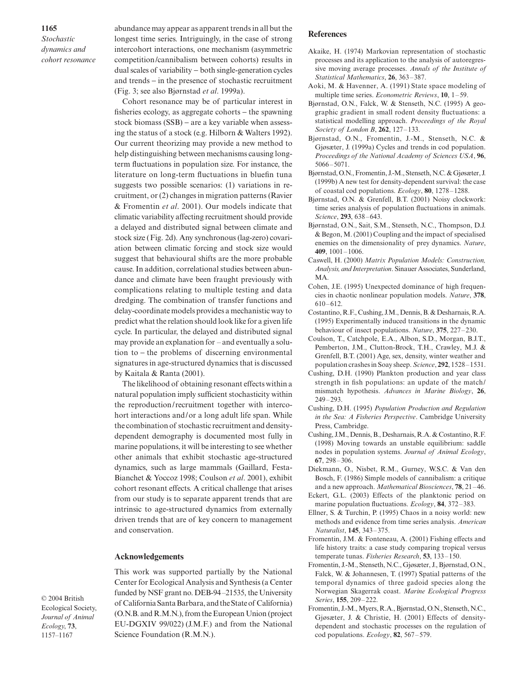*Stochastic dynamics and cohort resonance* abundance may appear as apparent trends in all but the longest time series. Intriguingly, in the case of strong intercohort interactions, one mechanism (asymmetric competition/cannibalism between cohorts) results in dual scales of variability − both single-generation cycles and trends − in the presence of stochastic recruitment (Fig. 3; see also Bjørnstad *et al*. 1999a).

Cohort resonance may be of particular interest in fisheries ecology, as aggregate cohorts − the spawning stock biomass (SSB) – are a key variable when assessing the status of a stock (e.g. Hilborn & Walters 1992). Our current theorizing may provide a new method to help distinguishing between mechanisms causing longterm fluctuations in population size. For instance, the literature on long-term fluctuations in bluefin tuna suggests two possible scenarios: (1) variations in recruitment, or (2) changes in migration patterns (Ravier & Fromentin *et al*. 2001). Our models indicate that climatic variability affecting recruitment should provide a delayed and distributed signal between climate and stock size (Fig. 2d). Any synchronous (lag-zero) covariation between climatic forcing and stock size would suggest that behavioural shifts are the more probable cause. In addition, correlational studies between abundance and climate have been fraught previously with complications relating to multiple testing and data dredging. The combination of transfer functions and delay-coordinate models provides a mechanistic way to predict what the relation should look like for a given life cycle. In particular, the delayed and distributed signal may provide an explanation for – and eventually a solution to − the problems of discerning environmental signatures in age-structured dynamics that is discussed by Kaitala & Ranta (2001).

The likelihood of obtaining resonant effects within a natural population imply sufficient stochasticity within the reproduction/recruitment together with intercohort interactions and/or a long adult life span. While the combination of stochastic recruitment and densitydependent demography is documented most fully in marine populations, it will be interesting to see whether other animals that exhibit stochastic age-structured dynamics, such as large mammals (Gaillard, Festa-Bianchet & Yoccoz 1998; Coulson *et al*. 2001), exhibit cohort resonant effects. A critical challenge that arises from our study is to separate apparent trends that are intrinsic to age-structured dynamics from externally driven trends that are of key concern to management and conservation.

## **Acknowledgements**

This work was supported partially by the National Center for Ecological Analysis and Synthesis (a Center funded by NSF grant no. DEB-94–21535, the University of California Santa Barbara, and the State of California) (O.N.B. and R.M.N.), from the European Union (project EU-DGXIV 99/022) (J.M.F.) and from the National Science Foundation (R.M.N.).

**References**

- Akaike, H. (1974) Markovian representation of stochastic processes and its application to the analysis of autoregressive moving average processes. *Annals of the Institute of Statistical Mathematics*, **26**, 363–387.
- Aoki, M. & Havenner, A. (1991) State space modeling of multiple time series. *Econometric Reviews*, **10**, 1–59.
- Bjørnstad, O.N., Falck, W. & Stenseth, N.C. (1995) A geographic gradient in small rodent density fluctuations: a statistical modelling approach. *Proceedings of the Royal Society of London B*, **262**, 127–133.
- Bjørnstad, O.N., Fromentin, J.-M., Stenseth, N.C. & Gjøsæter, J. (1999a) Cycles and trends in cod population. *Proceedings of the National Academy of Sciences USA*, **96**, 5066–5071.
- Bjørnstad, O.N., Fromentin, J.-M., Stenseth, N.C. & Gjøsæter, J. (1999b) A new test for density-dependent survival: the case of coastal cod populations. *Ecology*, **80**, 1278–1288.
- Bjørnstad, O.N. & Grenfell, B.T. (2001) Noisy clockwork: time series analysis of population fluctuations in animals. *Science*, **293**, 638–643.
- Bjørnstad, O.N., Sait, S.M., Stenseth, N.C., Thompson, D.J. & Begon, M. (2001) Coupling and the impact of specialised enemies on the dimensionality of prey dynamics. *Nature*, **409**, 1001–1006.
- Caswell, H. (2000) *Matrix Population Models: Construction, Analysis, and Interpretation*. Sinauer Associates, Sunderland, MA.
- Cohen, J.E. (1995) Unexpected dominance of high frequencies in chaotic nonlinear population models. *Nature*, **378**, 610–612.
- Costantino, R.F., Cushing, J.M., Dennis, B. & Desharnais, R.A. (1995) Experimentally induced transitions in the dynamic behaviour of insect populations. *Nature*, **375**, 227–230.
- Coulson, T., Catchpole, E.A., Albon, S.D., Morgan, B.J.T., Pemberton, J.M., Clutton-Brock, T.H., Crawley, M.J. & Grenfell, B.T. (2001) Age, sex, density, winter weather and population crashes in Soay sheep. *Science*, **292**, 1528–1531.
- Cushing, D.H. (1990) Plankton production and year class strength in fish populations: an update of the match/ mismatch hypothesis. *Advances in Marine Biology*, **26**, 249–293.
- Cushing, D.H. (1995) *Population Production and Regulation in the Sea: A Fisheries Perspective*. Cambridge University Press, Cambridge.
- Cushing, J.M., Dennis, B., Desharnais, R.A. & Costantino, R.F. (1998) Moving towards an unstable equilibrium: saddle nodes in population systems. *Journal of Animal Ecology*, **67**, 298–306.
- Diekmann, O., Nisbet, R.M., Gurney, W.S.C. & Van den Bosch, F. (1986) Simple models of cannibalism: a critique and a new approach. *Mathematical Biosciences*, **78**, 21–46.
- Eckert, G.L. (2003) Effects of the planktonic period on marine population fluctuations. *Ecology*, **84**, 372–383.
- Ellner, S. & Turchin, P. (1995) Chaos in a noisy world: new methods and evidence from time series analysis. *American Naturalist*, **145**, 343–375.
- Fromentin, J.M. & Fonteneau, A. (2001) Fishing effects and life history traits: a case study comparing tropical versus temperate tunas. *Fisheries Research*, **53**, 133–150.
- Fromentin, J.-M., Stenseth, N.C., Gjøsæter, J., Bjørnstad, O.N., Falck, W. & Johannesen, T. (1997) Spatial patterns of the temporal dynamics of three gadoid species along the Norwegian Skagerrak coast. *Marine Ecological Progress Series*, **155**, 209–222.
- Fromentin, J.-M., Myers, R.A., Bjørnstad, O.N., Stenseth, N.C., Gjøsæter, J. & Christie, H. (2001) Effects of densitydependent and stochastic processes on the regulation of cod populations. *Ecology*, **82**, 567–579.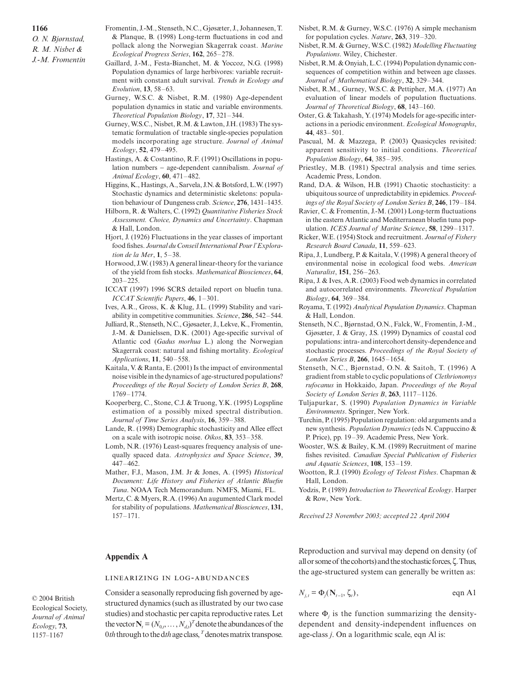*O. N. Bjørnstad, R. M. Nisbet & J.-M. Fromentin*

- Fromentin, J.-M., Stenseth, N.C., Gjøsæter, J., Johannesen, T. & Planque, B. (1998) Long-term fluctuations in cod and pollack along the Norwegian Skagerrak coast. *Marine Ecological Progress Series*, **162**, 265–278.
- Gaillard, J.-M., Festa-Bianchet, M. & Yoccoz, N.G. (1998) Population dynamics of large herbivores: variable recruitment with constant adult survival. *Trends in Ecology and Evolution*, **13**, 58–63.
- Gurney, W.S.C. & Nisbet, R.M. (1980) Age-dependent population dynamics in static and variable environments. *Theoretical Population Biology*, **17**, 321–344.
- Gurney, W.S.C., Nisbet, R.M. & Lawton, J.H. (1983) The systematic formulation of tractable single-species population models incorporating age structure. *Journal of Animal Ecology*, **52**, 479–495.
- Hastings, A. & Costantino, R.F. (1991) Oscillations in population numbers − age-dependent cannibalism. *Journal of Animal Ecology*, **60**, 471–482.
- Higgins, K., Hastings, A., Sarvela, J.N. & Botsford, L.W. (1997) Stochastic dynamics and deterministic skeletons: population behaviour of Dungeness crab. *Science*, **276**, 1431–1435.
- Hilborn, R. & Walters, C. (1992) *Quantitative Fisheries Stock Assessment. Choice, Dynamics and Uncertainty*. Chapman & Hall, London.
- Hjort, J. (1926) Fluctuations in the year classes of important food fishes. *Journal du Conseil International Pour l'Exploration de la Mer*, **1**, 5–38.
- Horwood, J.W. (1983) A general linear-theory for the variance of the yield from fish stocks. *Mathematical Biosciences*, **64**, 203–225.
- ICCAT (1997) 1996 SCRS detailed report on bluefin tuna. *ICCAT Scientific Papers*, **46**, 1–301.
- Ives, A.R., Gross, K. & Klug, J.L. (1999) Stability and variability in competitive communities. *Science*, **286**, 542–544.
- Julliard, R., Stenseth, N.C., Gjøsaeter, J., Lekve, K., Fromentin, J.-M. & Danielssen, D.K. (2001) Age-specific survival of Atlantic cod (*Gadus morhua* L.) along the Norwegian Skagerrak coast: natural and fishing mortality. *Ecological Applications*, **11**, 540–558.
- Kaitala, V. & Ranta, E. (2001) Is the impact of environmental noise visible in the dynamics of age-structured populations? *Proceedings of the Royal Society of London Series B*, **268**, 1769–1774.
- Kooperberg, C., Stone, C.J. & Truong, Y.K. (1995) Logspline estimation of a possibly mixed spectral distribution. *Journal of Time Series Analysis*, **16**, 359–388.
- Lande, R. (1998) Demographic stochasticity and Allee effect on a scale with isotropic noise. *Oikos*, **83**, 353–358.
- Lomb, N.R. (1976) Least-squares frequency analysis of unequally spaced data. *Astrophysics and Space Science*, **39**, 447–462.
- Mather, F.J., Mason, J.M. Jr & Jones, A. (1995) *Historical Document: Life History and Fisheries of Atlantic Bluefin Tuna*. NOAA Tech Memorandum. NMFS, Miami, FL.
- Mertz, C. & Myers, R.A. (1996) An augumented Clark model for stability of populations. *Mathematical Biosciences*, **131**, 157–171.

## **Appendix A**

## LINEARIZING IN LOG-ABUNDANCES

© 2004 British Ecological Society, *Journal of Animal Ecology*, **73**, 1157–1167

Consider a seasonally reproducing fish governed by agestructured dynamics (such as illustrated by our two case studies) and stochastic per capita reproductive rates. Let the vector  $N_t = (N_{0,t}, \ldots, N_{d,t})^T$  denote the abundances of the 0*th*through to the d*th*age class, *<sup>T</sup>* denotes matrix transpose.

- Nisbet, R.M. & Gurney, W.S.C. (1976) A simple mechanism for population cycles. *Nature*, **263**, 319–320.
- Nisbet, R.M. & Gurney, W.S.C. (1982) *Modelling Fluctuating Populations*. Wiley, Chichester.
- Nisbet, R.M. & Onyiah, L.C. (1994) Population dynamic consequences of competition within and between age classes. *Journal of Mathematical Biology*, **32**, 329–344.
- Nisbet, R.M., Gurney, W.S.C. & Pettipher, M.A. (1977) An evaluation of linear models of population fluctuations. *Journal of Theoretical Biology*, **68**, 143–160.
- Oster, G. & Takahash, Y. (1974) Models for age-specific interactions in a periodic environment. *Ecological Monographs*, **44**, 483–501.
- Pascual, M. & Mazzega, P. (2003) Quasicycles revisited: apparent sensitivity to initial conditions. *Theoretical Population Biology*, **64**, 385–395.
- Priestley, M.B. (1981) Spectral analysis and time series. Academic Press, London.
- Rand, D.A. & Wilson, H.B. (1991) Chaotic stochasticity: a ubiquitous source of unpredictability in epidemics. *Proceedings of the Royal Society of London Series B*, **246**, 179–184.
- Ravier, C. & Fromentin, J.-M. (2001) Long-term fluctuations in the eastern Atlantic and Mediterranean bluefin tuna population. *ICES Journal of Marine Science*, **58**, 1299–1317.
- Ricker, W.E. (1954) Stock and recruitment. *Journal of Fishery Research Board Canada*, **11**, 559–623.
- Ripa, J., Lundberg, P. & Kaitala, V. (1998) A general theory of environmental noise in ecological food webs. *American Naturalist*, **151**, 256–263.
- Ripa, J. & Ives, A.R. (2003) Food web dynamics in correlated and autocorrelated environments. *Theoretical Population Biology*, **64**, 369–384.
- Royama, T. (1992) *Analytical Population Dynamics*. Chapman & Hall, London.
- Stenseth, N.C., Bjørnstad, O.N., Falck, W., Fromentin, J.-M., Gjøsæter, J. & Gray, J.S. (1999) Dynamics of coastal cod populations: intra- and intercohort density-dependence and stochastic processes. *Proceedings of the Royal Society of London Series B*, **266**, 1645–1654.
- Stenseth, N.C., Bjørnstad, O.N. & Saitoh, T. (1996) A gradient from stable to cyclic populations of *Clethrionomys rufocanus* in Hokkaido, Japan. *Proceedings of the Royal Society of London Series B*, **263**, 1117–1126.
- Tuljapurkar, S. (1990) *Population Dynamics in Variable Environments*. Springer, New York.
- Turchin, P. (1995) Population regulation: old arguments and a new synthesis. *Population Dynamics* (eds N. Cappuccino & P. Price), pp. 19–39. Academic Press, New York.
- Wooster, W.S. & Bailey, K.M. (1989) Recruitment of marine fishes revisited. *Canadian Special Publication of Fisheries and Aquatic Sciences*, **108**, 153–159.
- Wootton, R.J. (1990) *Ecology of Teleost Fishes*. Chapman & Hall, London.
- Yodzis, P. (1989) *Introduction to Theoretical Ecology*. Harper & Row, New York.

*Received 23 November 2003; accepted 22 April 2004*

Reproduction and survival may depend on density (of all or some of the cohorts) and the stochastic forces, ζ. Thus, the age-structured system can generally be written as:

$$
N_{j,t} = \Phi_j(\mathbf{N}_{t-1}, \zeta_t), \qquad \text{eqn Al}
$$

where  $\Phi_i$  is the function summarizing the densitydependent and density-independent influences on age-class *j*. On a logarithmic scale, eqn Al is: